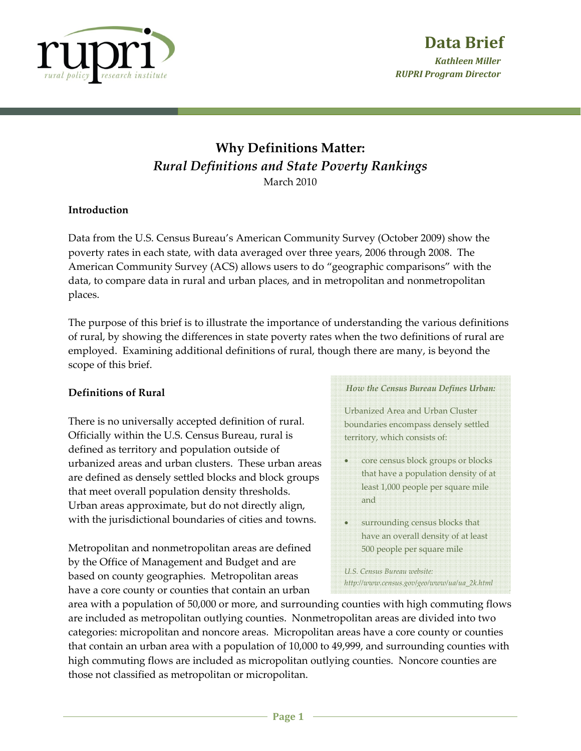

# **Why Definitions Matter:** *Rural Definitions and State Poverty Rankings* March 2010

## **Introduction**

Data from the U.S. Census Bureau's American Community Survey (October 2009) show the poverty rates in each state, with data averaged over three years, 2006 through 2008. The American Community Survey (ACS) allows users to do "geographic comparisons" with the data, to compare data in rural and urban places, and in metropolitan and nonmetropolitan places.

The purpose of this brief is to illustrate the importance of understanding the various definitions of rural, by showing the differences in state poverty rates when the two definitions of rural are employed. Examining additional definitions of rural, though there are many, is beyond the scope of this brief.

### **Definitions of Rural**

There is no universally accepted definition of rural. Officially within the U.S. Census Bureau, rural is defined as territory and population outside of urbanized areas and urban clusters. These urban areas are defined as densely settled blocks and block groups that meet overall population density thresholds. Urban areas approximate, but do not directly align, with the jurisdictional boundaries of cities and towns.

Metropolitan and nonmetropolitan areas are defined by the Office of Management and Budget and are based on county geographies. Metropolitan areas have a core county or counties that contain an urban

#### *How the Census Bureau Defines Urban:*

Urbanized Area and Urban Cluster boundaries encompass densely settled territory, which consists of:

- core census block groups or blocks that have a population density of at least 1,000 people per square mile and
- surrounding census blocks that have an overall density of at least 500 people per square mile

*U.S. Census Bureau website: http://www.census.gov/geo/www/ua/ua\_2k.html*

area with a population of 50,000 or more, and surrounding counties with high commuting flows are included as metropolitan outlying counties. Nonmetropolitan areas are divided into two categories: micropolitan and noncore areas. Micropolitan areas have a core county or counties that contain an urban area with a population of 10,000 to 49,999, and surrounding counties with high commuting flows are included as micropolitan outlying counties. Noncore counties are those not classified as metropolitan or micropolitan.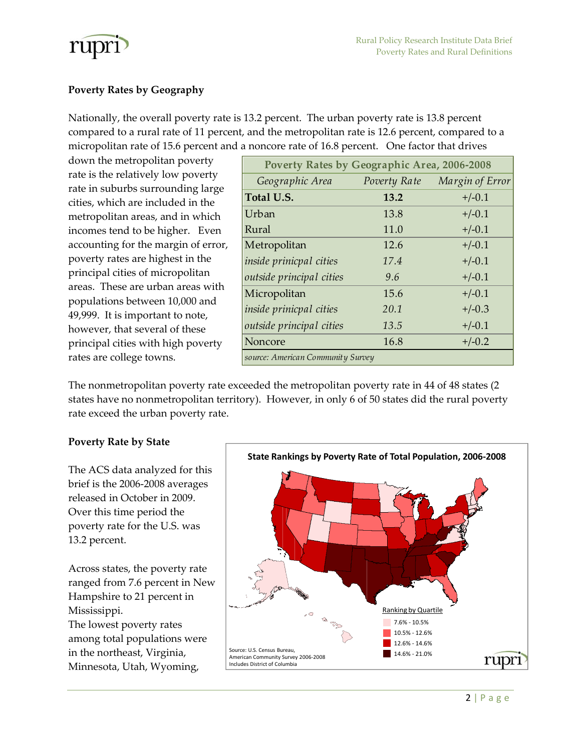

## **Poverty Rates by Geography**

Nationally, the overall poverty rate is 13.2 percent. The urban poverty rate is 13.8 percent compared to a rural rate of 11 percent, and the metropolitan rate is 12.6 percent, compared to a micropolitan rate of 15.6 percent and a noncore rate of 16.8 percent. One factor that drives

down the metropolitan poverty rate is the relatively low poverty rate in suburbs surrounding large cities, which are included in the metropolitan areas, and in which incomes tend to be higher. Even accounting for the margin of error, poverty rates are highest in the principal cities of micropolitan areas. These are urban areas with populations between 10,000 and 49,999. It is important to note, however, that several of these principal cities with high poverty rates are college towns.

| Poverty Rates by Geographic Area, 2006-2008 |              |                 |
|---------------------------------------------|--------------|-----------------|
| Geographic Area                             | Poverty Rate | Margin of Error |
| Total U.S.                                  | 13.2         | $+/-0.1$        |
| Urban                                       | 13.8         | $+/-0.1$        |
| Rural                                       | 11.0         | $+/-0.1$        |
| Metropolitan                                | 12.6         | $+/-0.1$        |
| inside prinicpal cities                     | 17.4         | $+/-0.1$        |
| outside principal cities                    | 9.6          | $+/-0.1$        |
| Micropolitan                                | 15.6         | $+/-0.1$        |
| <i>inside prinicpal cities</i>              | 20.1         | $+/-0.3$        |
| outside principal cities                    | 13.5         | $+/-0.1$        |
| Noncore                                     | 16.8         | $+/-0.2$        |
| source: American Community Survey           |              |                 |

The nonmetropolitan poverty rate exceeded the metropolitan poverty rate in 44 of 48 states (2 states have no nonmetropolitan territory). However, in only 6 of 50 states did the rural poverty rate exceed the urban poverty rate.

### **Poverty Rate by State**

The ACS data analyzed for this brief is the 2006‐2008 averages released in October in 2009. Over this time period the poverty rate for the U.S. was 13.2 percent.

Across states, the poverty rate ranged from 7.6 percent in New Hampshire to 21 percent in Mississippi. The lowest poverty rates among total populations were in the northeast, Virginia, Minnesota, Utah, Wyoming,

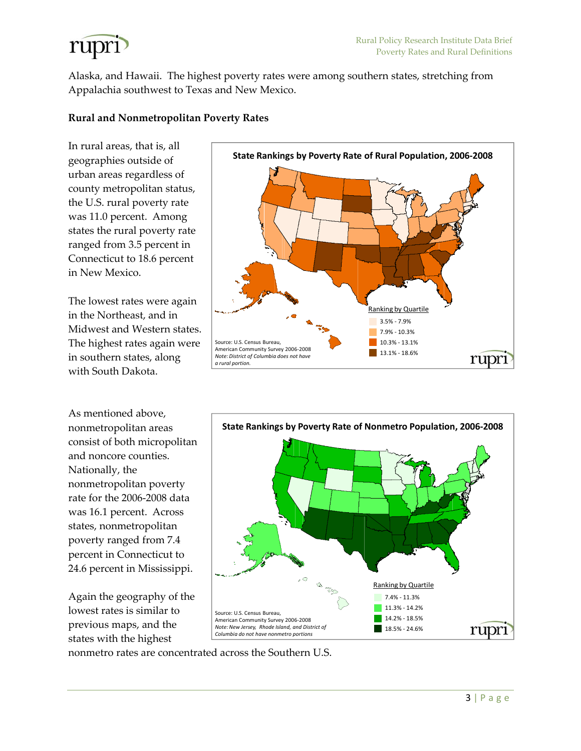

Alaska, and Hawaii. The highest poverty rates were among southern states, stretching from Appalachia southwest to Texas and New Mexico.

#### **Rural and Nonmetropolitan Poverty Rates**

In rural areas, that is, all geographies outside of urban areas regardless of county metropolitan status, the U.S. rural poverty rate was 11.0 percent. Among states the rural poverty rate ranged from 3.5 percent in Connecticut to 18.6 percent in New Mexico.

The lowest rates were again in the Northeast, and in Midwest and Western states. The highest rates again were in southern states, along with South Dakota.

As mentioned above, nonmetropolitan areas consist of both micropolitan and noncore counties. Nationally, the nonmetropolitan poverty rate for the 2006‐2008 data was 16.1 percent. Across states, nonmetropolitan poverty ranged from 7.4 percent in Connecticut to 24.6 percent in Mississippi.

Again the geography of the lowest rates is similar to previous maps, and the states with the highest





nonmetro rates are concentrated across the Southern U.S.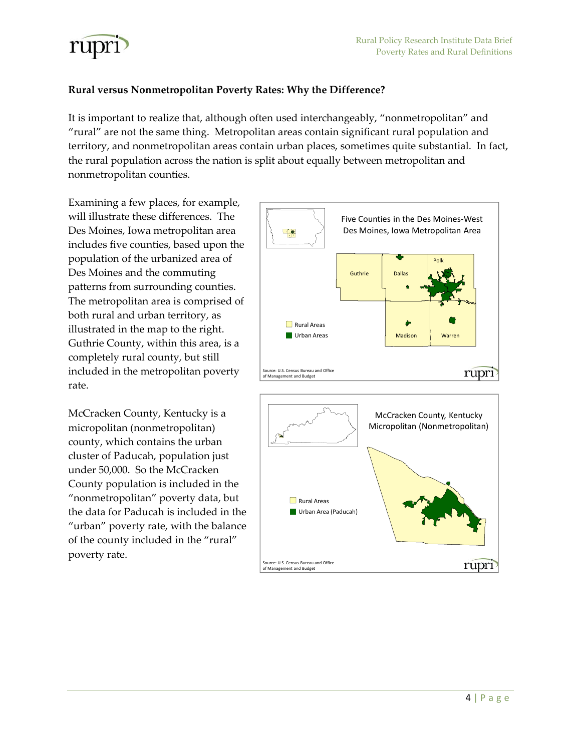

## **Rural versus Nonmetropolitan Poverty Rates: Why the Difference?**

It is important to realize that, although often used interchangeably, "nonmetropolitan" and "rural" are not the same thing. Metropolitan areas contain significant rural population and territory, and nonmetropolitan areas contain urban places, sometimes quite substantial. In fact, the rural population across the nation is split about equally between metropolitan and nonmetropolitan counties.

Examining a few places, for example, will illustrate these differences. The Des Moines, Iowa metropolitan area includes five counties, based upon the population of the urbanized area of Des Moines and the commuting patterns from surrounding counties. The metropolitan area is comprised of both rural and urban territory, as illustrated in the map to the right. Guthrie County, within this area, is a completely rural county, but still included in the metropolitan poverty rate.

McCracken County, Kentucky is a micropolitan (nonmetropolitan) county, which contains the urban cluster of Paducah, population just under 50,000. So the McCracken County population is included in the "nonmetropolitan" poverty data, but the data for Paducah is included in the "urban" poverty rate, with the balance of the county included in the "rural" poverty rate.



Urban Area (Paducah)

Source: U.S. Census Bureau and Office of Management and Budget

rupri